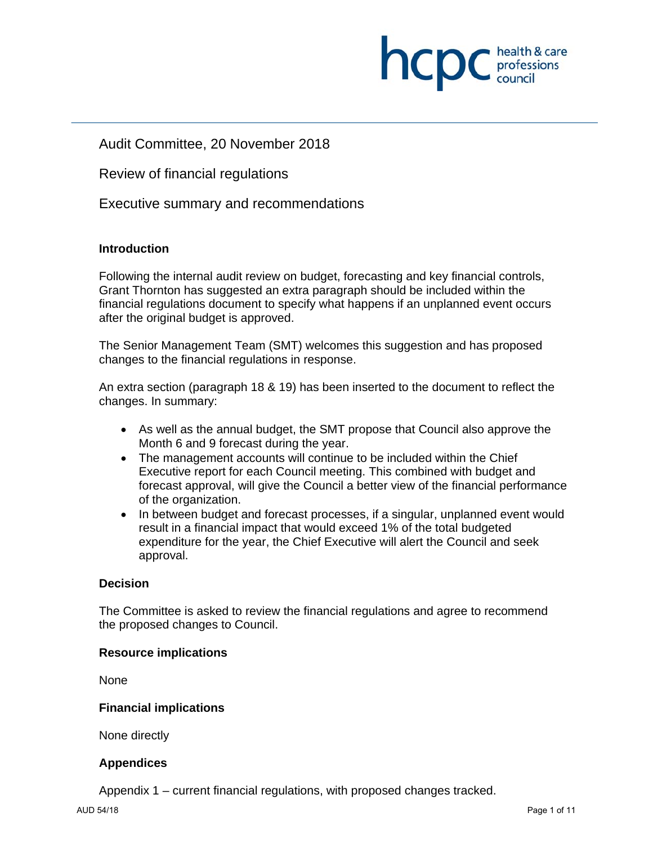

# Audit Committee, 20 November 2018

Review of financial regulations

Executive summary and recommendations

### **Introduction**

Following the internal audit review on budget, forecasting and key financial controls, Grant Thornton has suggested an extra paragraph should be included within the financial regulations document to specify what happens if an unplanned event occurs after the original budget is approved.

The Senior Management Team (SMT) welcomes this suggestion and has proposed changes to the financial regulations in response.

An extra section (paragraph 18 & 19) has been inserted to the document to reflect the changes. In summary:

- As well as the annual budget, the SMT propose that Council also approve the Month 6 and 9 forecast during the year.
- The management accounts will continue to be included within the Chief Executive report for each Council meeting. This combined with budget and forecast approval, will give the Council a better view of the financial performance of the organization.
- In between budget and forecast processes, if a singular, unplanned event would result in a financial impact that would exceed 1% of the total budgeted expenditure for the year, the Chief Executive will alert the Council and seek approval.

### **Decision**

The Committee is asked to review the financial regulations and agree to recommend the proposed changes to Council.

#### **Resource implications**

None

### **Financial implications**

None directly

### **Appendices**

Appendix 1 – current financial regulations, with proposed changes tracked.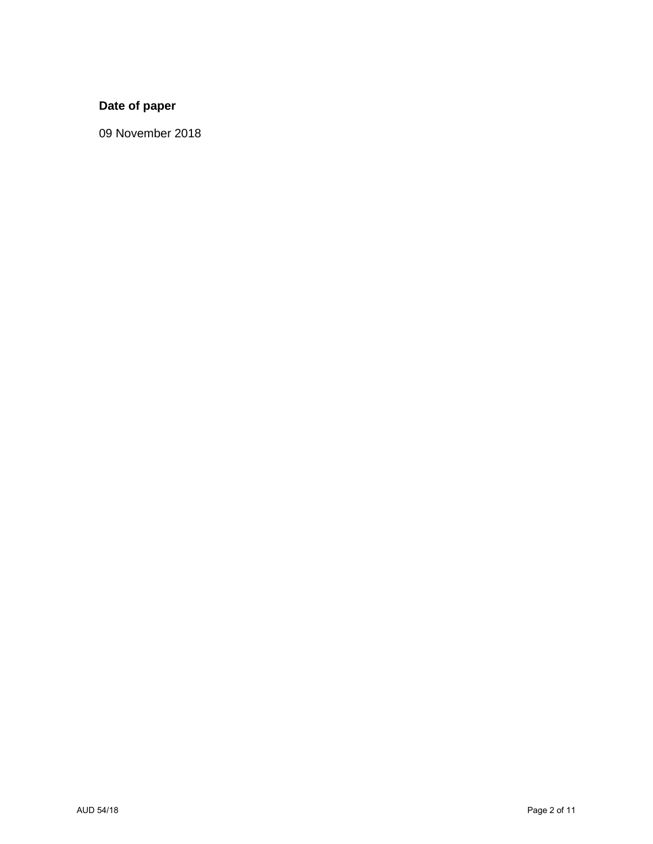# **Date of paper**

09 November 2018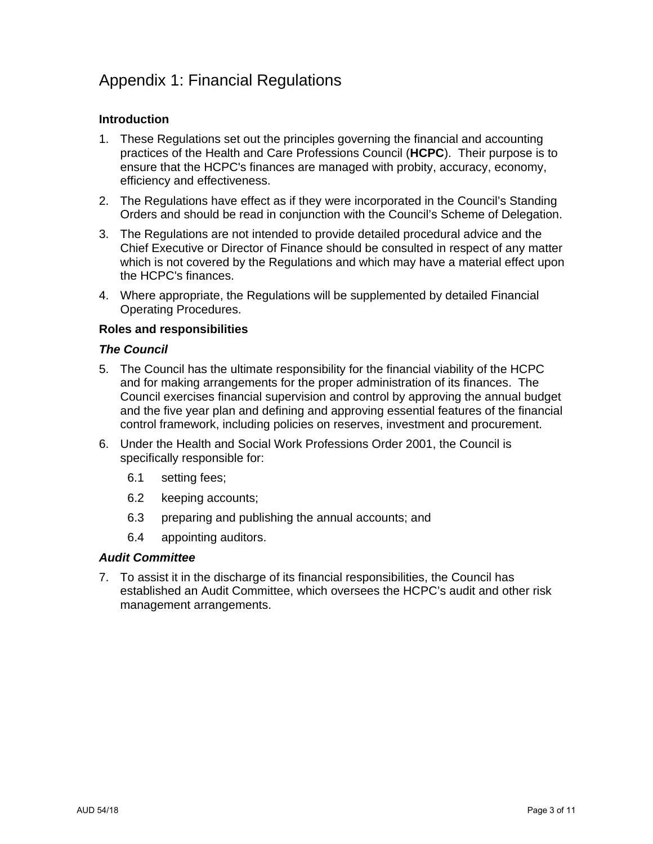# Appendix 1: Financial Regulations

## **Introduction**

- 1. These Regulations set out the principles governing the financial and accounting practices of the Health and Care Professions Council (**HCPC**). Their purpose is to ensure that the HCPC's finances are managed with probity, accuracy, economy, efficiency and effectiveness.
- 2. The Regulations have effect as if they were incorporated in the Council's Standing Orders and should be read in conjunction with the Council's Scheme of Delegation.
- 3. The Regulations are not intended to provide detailed procedural advice and the Chief Executive or Director of Finance should be consulted in respect of any matter which is not covered by the Regulations and which may have a material effect upon the HCPC's finances.
- 4. Where appropriate, the Regulations will be supplemented by detailed Financial Operating Procedures.

### **Roles and responsibilities**

### *The Council*

- 5. The Council has the ultimate responsibility for the financial viability of the HCPC and for making arrangements for the proper administration of its finances. The Council exercises financial supervision and control by approving the annual budget and the five year plan and defining and approving essential features of the financial control framework, including policies on reserves, investment and procurement.
- 6. Under the Health and Social Work Professions Order 2001, the Council is specifically responsible for:
	- 6.1 setting fees;
	- 6.2 keeping accounts;
	- 6.3 preparing and publishing the annual accounts; and
	- 6.4 appointing auditors.

#### *Audit Committee*

7. To assist it in the discharge of its financial responsibilities, the Council has established an Audit Committee, which oversees the HCPC's audit and other risk management arrangements.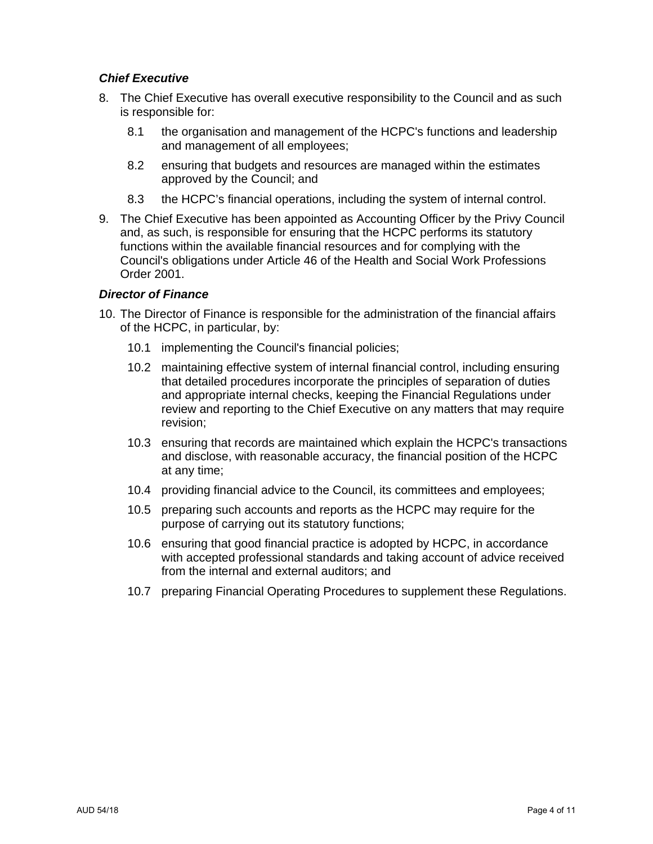### *Chief Executive*

- 8. The Chief Executive has overall executive responsibility to the Council and as such is responsible for:
	- 8.1 the organisation and management of the HCPC's functions and leadership and management of all employees;
	- 8.2 ensuring that budgets and resources are managed within the estimates approved by the Council; and
	- 8.3 the HCPC's financial operations, including the system of internal control.
- 9. The Chief Executive has been appointed as Accounting Officer by the Privy Council and, as such, is responsible for ensuring that the HCPC performs its statutory functions within the available financial resources and for complying with the Council's obligations under Article 46 of the Health and Social Work Professions Order 2001.

### *Director of Finance*

- 10. The Director of Finance is responsible for the administration of the financial affairs of the HCPC, in particular, by:
	- 10.1 implementing the Council's financial policies;
	- 10.2 maintaining effective system of internal financial control, including ensuring that detailed procedures incorporate the principles of separation of duties and appropriate internal checks, keeping the Financial Regulations under review and reporting to the Chief Executive on any matters that may require revision;
	- 10.3 ensuring that records are maintained which explain the HCPC's transactions and disclose, with reasonable accuracy, the financial position of the HCPC at any time;
	- 10.4 providing financial advice to the Council, its committees and employees;
	- 10.5 preparing such accounts and reports as the HCPC may require for the purpose of carrying out its statutory functions;
	- 10.6 ensuring that good financial practice is adopted by HCPC, in accordance with accepted professional standards and taking account of advice received from the internal and external auditors; and
	- 10.7 preparing Financial Operating Procedures to supplement these Regulations.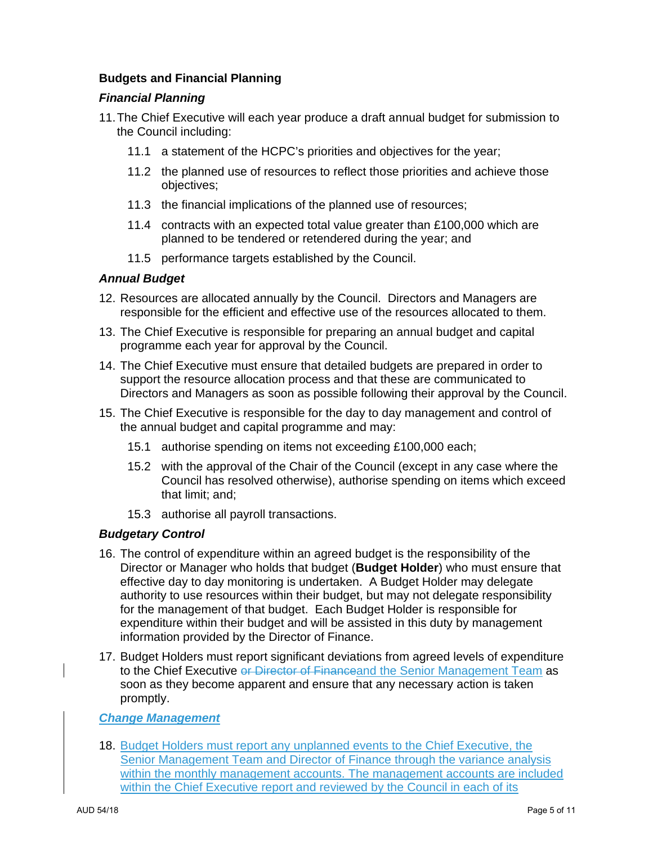# **Budgets and Financial Planning**

### *Financial Planning*

- 11. The Chief Executive will each year produce a draft annual budget for submission to the Council including:
	- 11.1 a statement of the HCPC's priorities and objectives for the year;
	- 11.2 the planned use of resources to reflect those priorities and achieve those objectives;
	- 11.3 the financial implications of the planned use of resources;
	- 11.4 contracts with an expected total value greater than £100,000 which are planned to be tendered or retendered during the year; and
	- 11.5 performance targets established by the Council.

### *Annual Budget*

- 12. Resources are allocated annually by the Council. Directors and Managers are responsible for the efficient and effective use of the resources allocated to them.
- 13. The Chief Executive is responsible for preparing an annual budget and capital programme each year for approval by the Council.
- 14. The Chief Executive must ensure that detailed budgets are prepared in order to support the resource allocation process and that these are communicated to Directors and Managers as soon as possible following their approval by the Council.
- 15. The Chief Executive is responsible for the day to day management and control of the annual budget and capital programme and may:
	- 15.1 authorise spending on items not exceeding £100,000 each;
	- 15.2 with the approval of the Chair of the Council (except in any case where the Council has resolved otherwise), authorise spending on items which exceed that limit; and;
	- 15.3 authorise all payroll transactions.

### *Budgetary Control*

- 16. The control of expenditure within an agreed budget is the responsibility of the Director or Manager who holds that budget (**Budget Holder**) who must ensure that effective day to day monitoring is undertaken. A Budget Holder may delegate authority to use resources within their budget, but may not delegate responsibility for the management of that budget. Each Budget Holder is responsible for expenditure within their budget and will be assisted in this duty by management information provided by the Director of Finance.
- 17. Budget Holders must report significant deviations from agreed levels of expenditure to the Chief Executive or Director of Financeand the Senior Management Team as soon as they become apparent and ensure that any necessary action is taken promptly.

### *Change Management*

18. Budget Holders must report any unplanned events to the Chief Executive, the Senior Management Team and Director of Finance through the variance analysis within the monthly management accounts. The management accounts are included within the Chief Executive report and reviewed by the Council in each of its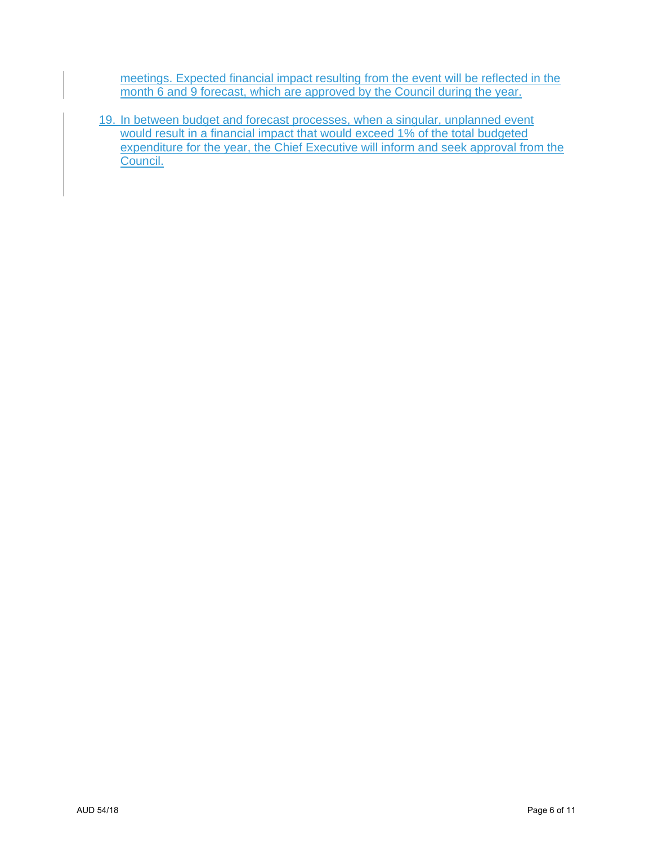meetings. Expected financial impact resulting from the event will be reflected in the month 6 and 9 forecast, which are approved by the Council during the year.

19. In between budget and forecast processes, when a singular, unplanned event would result in a financial impact that would exceed 1% of the total budgeted expenditure for the year, the Chief Executive will inform and seek approval from the Council.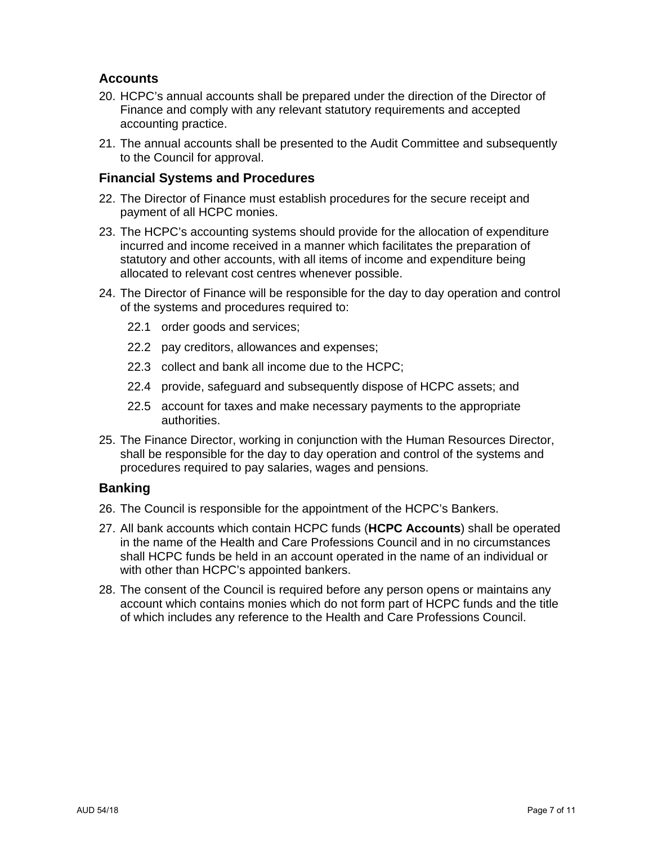# **Accounts**

- 20. HCPC's annual accounts shall be prepared under the direction of the Director of Finance and comply with any relevant statutory requirements and accepted accounting practice.
- 21. The annual accounts shall be presented to the Audit Committee and subsequently to the Council for approval.

## **Financial Systems and Procedures**

- 22. The Director of Finance must establish procedures for the secure receipt and payment of all HCPC monies.
- 23. The HCPC's accounting systems should provide for the allocation of expenditure incurred and income received in a manner which facilitates the preparation of statutory and other accounts, with all items of income and expenditure being allocated to relevant cost centres whenever possible.
- 24. The Director of Finance will be responsible for the day to day operation and control of the systems and procedures required to:
	- 22.1 order goods and services;
	- 22.2 pay creditors, allowances and expenses;
	- 22.3 collect and bank all income due to the HCPC;
	- 22.4 provide, safeguard and subsequently dispose of HCPC assets; and
	- 22.5 account for taxes and make necessary payments to the appropriate authorities.
- 25. The Finance Director, working in conjunction with the Human Resources Director, shall be responsible for the day to day operation and control of the systems and procedures required to pay salaries, wages and pensions.

# **Banking**

- 26. The Council is responsible for the appointment of the HCPC's Bankers.
- 27. All bank accounts which contain HCPC funds (**HCPC Accounts**) shall be operated in the name of the Health and Care Professions Council and in no circumstances shall HCPC funds be held in an account operated in the name of an individual or with other than HCPC's appointed bankers.
- 28. The consent of the Council is required before any person opens or maintains any account which contains monies which do not form part of HCPC funds and the title of which includes any reference to the Health and Care Professions Council.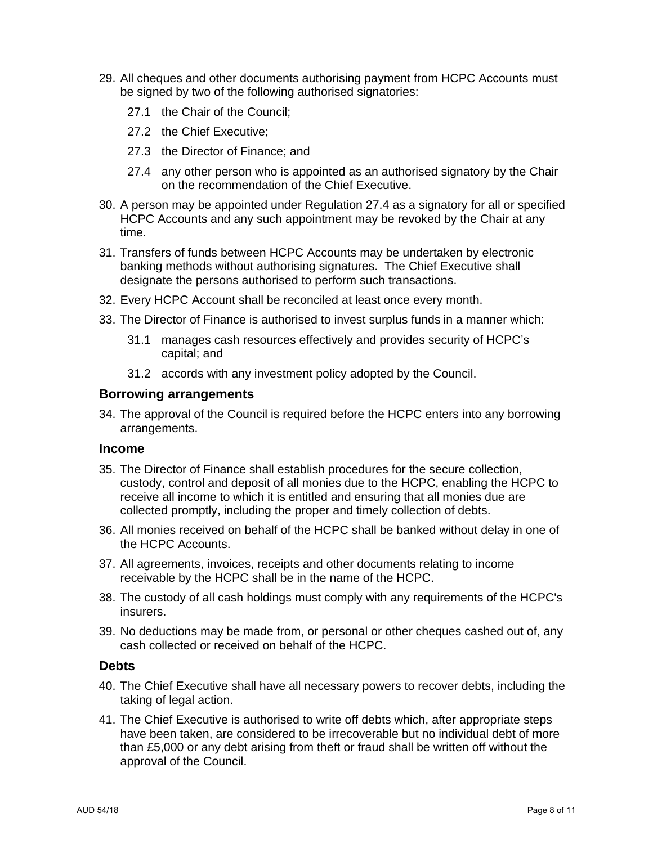- 29. All cheques and other documents authorising payment from HCPC Accounts must be signed by two of the following authorised signatories:
	- 27.1 the Chair of the Council;
	- 27.2 the Chief Executive;
	- 27.3 the Director of Finance; and
	- 27.4 any other person who is appointed as an authorised signatory by the Chair on the recommendation of the Chief Executive.
- 30. A person may be appointed under Regulation 27.4 as a signatory for all or specified HCPC Accounts and any such appointment may be revoked by the Chair at any time.
- 31. Transfers of funds between HCPC Accounts may be undertaken by electronic banking methods without authorising signatures. The Chief Executive shall designate the persons authorised to perform such transactions.
- 32. Every HCPC Account shall be reconciled at least once every month.
- 33. The Director of Finance is authorised to invest surplus funds in a manner which:
	- 31.1 manages cash resources effectively and provides security of HCPC's capital; and
	- 31.2 accords with any investment policy adopted by the Council.

### **Borrowing arrangements**

34. The approval of the Council is required before the HCPC enters into any borrowing arrangements.

#### **Income**

- 35. The Director of Finance shall establish procedures for the secure collection, custody, control and deposit of all monies due to the HCPC, enabling the HCPC to receive all income to which it is entitled and ensuring that all monies due are collected promptly, including the proper and timely collection of debts.
- 36. All monies received on behalf of the HCPC shall be banked without delay in one of the HCPC Accounts.
- 37. All agreements, invoices, receipts and other documents relating to income receivable by the HCPC shall be in the name of the HCPC.
- 38. The custody of all cash holdings must comply with any requirements of the HCPC's insurers.
- 39. No deductions may be made from, or personal or other cheques cashed out of, any cash collected or received on behalf of the HCPC.

### **Debts**

- 40. The Chief Executive shall have all necessary powers to recover debts, including the taking of legal action.
- 41. The Chief Executive is authorised to write off debts which, after appropriate steps have been taken, are considered to be irrecoverable but no individual debt of more than £5,000 or any debt arising from theft or fraud shall be written off without the approval of the Council.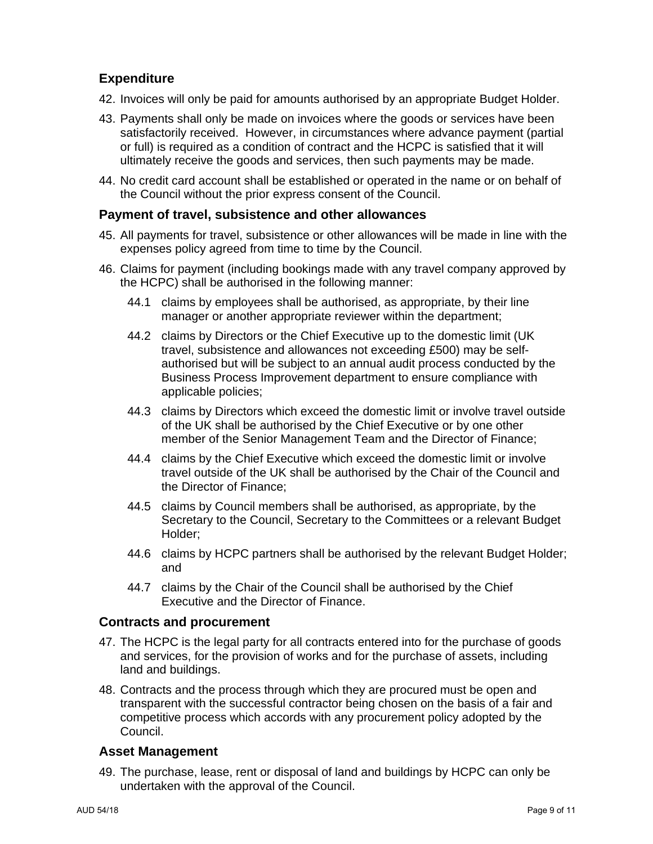# **Expenditure**

- 42. Invoices will only be paid for amounts authorised by an appropriate Budget Holder.
- 43. Payments shall only be made on invoices where the goods or services have been satisfactorily received. However, in circumstances where advance payment (partial or full) is required as a condition of contract and the HCPC is satisfied that it will ultimately receive the goods and services, then such payments may be made.
- 44. No credit card account shall be established or operated in the name or on behalf of the Council without the prior express consent of the Council.

### **Payment of travel, subsistence and other allowances**

- 45. All payments for travel, subsistence or other allowances will be made in line with the expenses policy agreed from time to time by the Council.
- 46. Claims for payment (including bookings made with any travel company approved by the HCPC) shall be authorised in the following manner:
	- 44.1 claims by employees shall be authorised, as appropriate, by their line manager or another appropriate reviewer within the department;
	- 44.2 claims by Directors or the Chief Executive up to the domestic limit (UK travel, subsistence and allowances not exceeding £500) may be selfauthorised but will be subject to an annual audit process conducted by the Business Process Improvement department to ensure compliance with applicable policies;
	- 44.3 claims by Directors which exceed the domestic limit or involve travel outside of the UK shall be authorised by the Chief Executive or by one other member of the Senior Management Team and the Director of Finance;
	- 44.4 claims by the Chief Executive which exceed the domestic limit or involve travel outside of the UK shall be authorised by the Chair of the Council and the Director of Finance;
	- 44.5 claims by Council members shall be authorised, as appropriate, by the Secretary to the Council, Secretary to the Committees or a relevant Budget Holder;
	- 44.6 claims by HCPC partners shall be authorised by the relevant Budget Holder; and
	- 44.7 claims by the Chair of the Council shall be authorised by the Chief Executive and the Director of Finance.

### **Contracts and procurement**

- 47. The HCPC is the legal party for all contracts entered into for the purchase of goods and services, for the provision of works and for the purchase of assets, including land and buildings.
- 48. Contracts and the process through which they are procured must be open and transparent with the successful contractor being chosen on the basis of a fair and competitive process which accords with any procurement policy adopted by the Council.

# **Asset Management**

49. The purchase, lease, rent or disposal of land and buildings by HCPC can only be undertaken with the approval of the Council.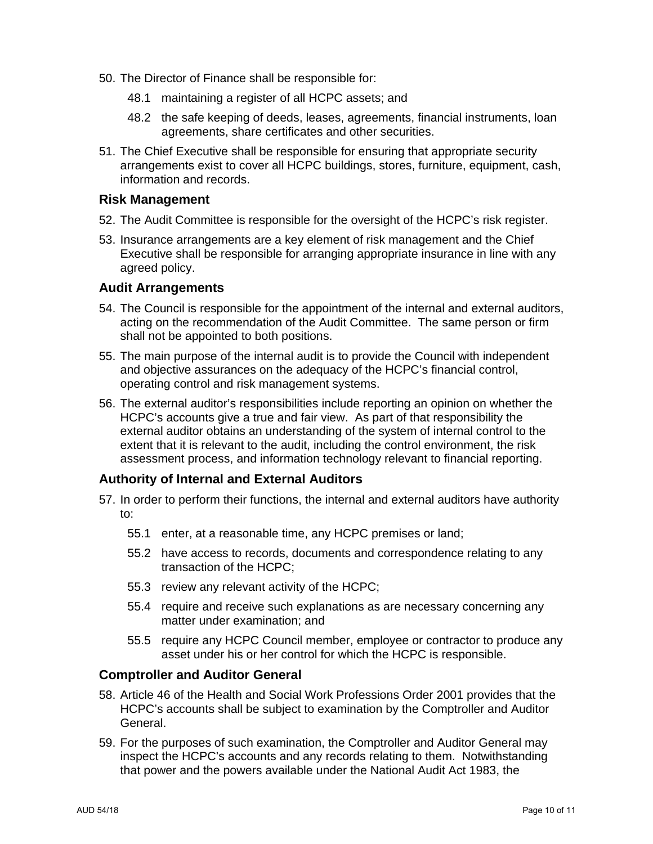- 50. The Director of Finance shall be responsible for:
	- 48.1 maintaining a register of all HCPC assets; and
	- 48.2 the safe keeping of deeds, leases, agreements, financial instruments, loan agreements, share certificates and other securities.
- 51. The Chief Executive shall be responsible for ensuring that appropriate security arrangements exist to cover all HCPC buildings, stores, furniture, equipment, cash, information and records.

### **Risk Management**

- 52. The Audit Committee is responsible for the oversight of the HCPC's risk register.
- 53. Insurance arrangements are a key element of risk management and the Chief Executive shall be responsible for arranging appropriate insurance in line with any agreed policy.

### **Audit Arrangements**

- 54. The Council is responsible for the appointment of the internal and external auditors, acting on the recommendation of the Audit Committee. The same person or firm shall not be appointed to both positions.
- 55. The main purpose of the internal audit is to provide the Council with independent and objective assurances on the adequacy of the HCPC's financial control, operating control and risk management systems.
- 56. The external auditor's responsibilities include reporting an opinion on whether the HCPC's accounts give a true and fair view. As part of that responsibility the external auditor obtains an understanding of the system of internal control to the extent that it is relevant to the audit, including the control environment, the risk assessment process, and information technology relevant to financial reporting.

# **Authority of Internal and External Auditors**

- 57. In order to perform their functions, the internal and external auditors have authority to:
	- 55.1 enter, at a reasonable time, any HCPC premises or land;
	- 55.2 have access to records, documents and correspondence relating to any transaction of the HCPC;
	- 55.3 review any relevant activity of the HCPC;
	- 55.4 require and receive such explanations as are necessary concerning any matter under examination; and
	- 55.5 require any HCPC Council member, employee or contractor to produce any asset under his or her control for which the HCPC is responsible.

# **Comptroller and Auditor General**

- 58. Article 46 of the Health and Social Work Professions Order 2001 provides that the HCPC's accounts shall be subject to examination by the Comptroller and Auditor General.
- 59. For the purposes of such examination, the Comptroller and Auditor General may inspect the HCPC's accounts and any records relating to them. Notwithstanding that power and the powers available under the National Audit Act 1983, the